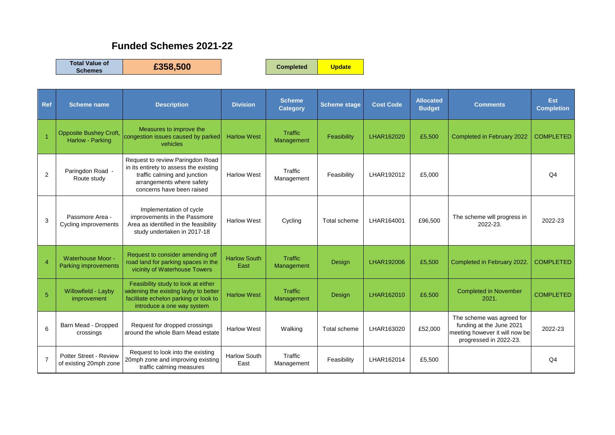## **Funded Schemes 2021-22**

**Total Value of** 

**Schemes £358,500 Completed Update**

| Ref            | <b>Scheme name</b>                                      | <b>Description</b>                                                                                                                                                   | <b>Division</b>             | <b>Scheme</b><br><b>Category</b> | <b>Scheme stage</b> | <b>Cost Code</b> | <b>Allocated</b><br><b>Budget</b> | <b>Comments</b>                                                                                                   | Est<br><b>Completion</b> |
|----------------|---------------------------------------------------------|----------------------------------------------------------------------------------------------------------------------------------------------------------------------|-----------------------------|----------------------------------|---------------------|------------------|-----------------------------------|-------------------------------------------------------------------------------------------------------------------|--------------------------|
|                | <b>Opposite Bushey Croft,</b><br>Harlow - Parking       | Measures to improve the<br>congestion issues caused by parked<br>vehicles                                                                                            | <b>Harlow West</b>          | Traffic<br>Management            | Feasibility         | LHAR162020       | £5,500                            | Completed in February 2022                                                                                        | <b>COMPLETED</b>         |
| 2              | Paringdon Road -<br>Route study                         | Request to review Paringdon Road<br>in its entirety to assess the existing<br>traffic calming and junction<br>arrangements where safety<br>concerns have been raised | <b>Harlow West</b>          | Traffic<br>Management            | Feasibility         | LHAR192012       | £5,000                            |                                                                                                                   | Q <sub>4</sub>           |
| 3              | Passmore Area -<br>Cycling improvements                 | Implementation of cycle<br>improvements in the Passmore<br>Area as identified in the feasibility<br>study undertaken in 2017-18                                      | <b>Harlow West</b>          | Cycling                          | Total scheme        | LHAR164001       | £96,500                           | The scheme will progress in<br>2022-23.                                                                           | 2022-23                  |
| $\overline{4}$ | <b>Waterhouse Moor -</b><br><b>Parking improvements</b> | Request to consider amending off<br>road land for parking spaces in the<br>vicinity of Waterhouse Towers                                                             | <b>Harlow South</b><br>East | Traffic<br>Management            | Design              | LHAR192006       | £5,500                            | Completed in February 2022                                                                                        | <b>COMPLETED</b>         |
| 5              | Willowfield - Layby<br>improvement                      | Feasibility study to look at either<br>widening the existing layby to better<br>facilitate echelon parking or look to<br>introduce a one way system                  | <b>Harlow West</b>          | Traffic<br>Management            | Design              | LHAR162010       | £6,500                            | <b>Completed in November</b><br>2021.                                                                             | <b>COMPLETED</b>         |
| 6              | Barn Mead - Dropped<br>crossings                        | Request for dropped crossings<br>around the whole Barn Mead estate                                                                                                   | <b>Harlow West</b>          | Walking                          | Total scheme        | LHAR163020       | £52,000                           | The scheme was agreed for<br>funding at the June 2021<br>meeting however it will now be<br>progressed in 2022-23. | 2022-23                  |
| $\overline{7}$ | Potter Street - Review<br>of existing 20mph zone        | Request to look into the existing<br>20mph zone and improving existing<br>traffic calming measures                                                                   | <b>Harlow South</b><br>East | Traffic<br>Management            | Feasibility         | LHAR162014       | £5,500                            |                                                                                                                   | Q <sub>4</sub>           |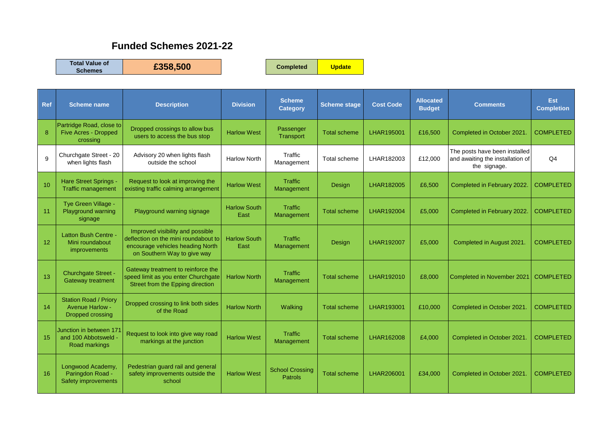## **Funded Schemes 2021-22**

**Total Value of** 

**Schemes £358,500 Completed Update**

| <b>Ref</b> | <b>Scheme name</b>                                                         | <b>Description</b>                                                                                                                          | <b>Division</b>             | <b>Scheme</b><br><b>Category</b>         | <b>Scheme stage</b> | <b>Cost Code</b> | <b>Allocated</b><br><b>Budget</b> | <b>Comments</b>                                                                   | <b>Est</b><br><b>Completion</b> |
|------------|----------------------------------------------------------------------------|---------------------------------------------------------------------------------------------------------------------------------------------|-----------------------------|------------------------------------------|---------------------|------------------|-----------------------------------|-----------------------------------------------------------------------------------|---------------------------------|
| 8          | Partridge Road, close to<br><b>Five Acres - Dropped</b><br>crossing        | Dropped crossings to allow bus<br>users to access the bus stop                                                                              | <b>Harlow West</b>          | Passenger<br>Transport                   | <b>Total scheme</b> | LHAR195001       | £16,500                           | Completed in October 2021.                                                        | <b>COMPLETED</b>                |
| 9          | Churchgate Street - 20<br>when lights flash                                | Advisory 20 when lights flash<br>outside the school                                                                                         | <b>Harlow North</b>         | Traffic<br>Management                    | Total scheme        | LHAR182003       | £12.000                           | The posts have been installed<br>and awaiting the installation of<br>the signage. | Q4                              |
| 10         | Hare Street Springs<br><b>Traffic management</b>                           | Request to look at improving the<br>existing traffic calming arrangement                                                                    | <b>Harlow West</b>          | <b>Traffic</b><br>Management             | Design              | LHAR182005       | £6,500                            | Completed in February 2022.                                                       | <b>COMPLETED</b>                |
| 11         | Tye Green Village -<br>Playground warning<br>signage                       | Playground warning signage                                                                                                                  | <b>Harlow South</b><br>East | <b>Traffic</b><br>Management             | <b>Total scheme</b> | LHAR192004       | £5,000                            | Completed in February 2022.                                                       | <b>COMPLETED</b>                |
| 12         | <b>Latton Bush Centre -</b><br>Mini roundabout<br>improvements             | Improved visibility and possible<br>deflection on the mini roundabout to<br>encourage vehicles heading North<br>on Southern Way to give way | <b>Harlow South</b><br>East | <b>Traffic</b><br>Management             | Design              | LHAR192007       | £5,000                            | Completed in August 2021.                                                         | <b>COMPLETED</b>                |
| 13         | Churchgate Street -<br><b>Gateway treatment</b>                            | Gateway treatment to reinforce the<br>speed limit as you enter Churchgate<br>Street from the Epping direction                               | <b>Harlow North</b>         | <b>Traffic</b><br>Management             | <b>Total scheme</b> | LHAR192010       | £8,000                            | Completed in November 2021                                                        | <b>COMPLETED</b>                |
| 14         | <b>Station Road / Priory</b><br><b>Avenue Harlow -</b><br>Dropped crossing | Dropped crossing to link both sides<br>of the Road                                                                                          | <b>Harlow North</b>         | Walking                                  | <b>Total scheme</b> | LHAR193001       | £10,000                           | Completed in October 2021.                                                        | <b>COMPLETED</b>                |
| 15         | Junction in between 171<br>and 100 Abbotsweld -<br>Road markings           | Request to look into give way road<br>markings at the junction                                                                              | <b>Harlow West</b>          | <b>Traffic</b><br>Management             | <b>Total scheme</b> | LHAR162008       | £4,000                            | Completed in October 2021.                                                        | <b>COMPLETED</b>                |
| 16         | Longwood Academy,<br>Paringdon Road -<br>Safety improvements               | Pedestrian guard rail and general<br>safety improvements outside the<br>school                                                              | <b>Harlow West</b>          | <b>School Crossing</b><br><b>Patrols</b> | <b>Total scheme</b> | LHAR206001       | £34,000                           | Completed in October 2021.                                                        | <b>COMPLETED</b>                |